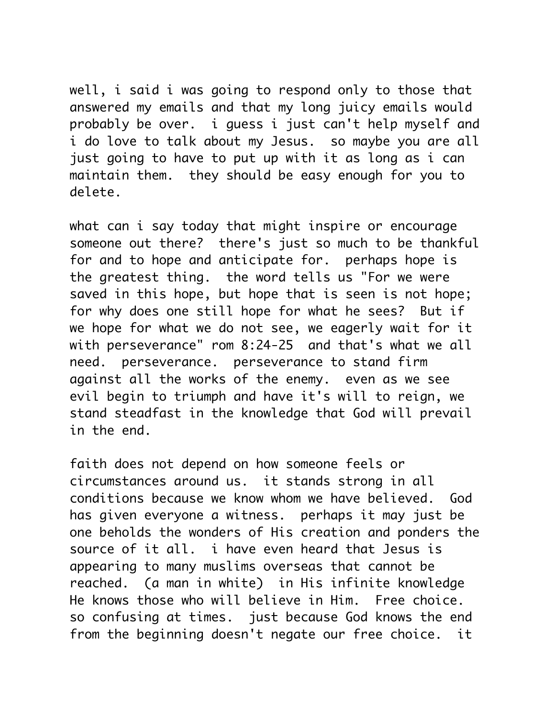well, i said i was going to respond only to those that answered my emails and that my long juicy emails would probably be over. i guess i just can't help myself and i do love to talk about my Jesus. so maybe you are all just going to have to put up with it as long as i can maintain them. they should be easy enough for you to delete.

what can i say today that might inspire or encourage someone out there? there's just so much to be thankful for and to hope and anticipate for. perhaps hope is the greatest thing. the word tells us "For we were saved in this hope, but hope that is seen is not hope; for why does one still hope for what he sees? But if we hope for what we do not see, we eagerly wait for it with perseverance" rom 8:24-25 and that's what we all need. perseverance. perseverance to stand firm against all the works of the enemy. even as we see evil begin to triumph and have it's will to reign, we stand steadfast in the knowledge that God will prevail in the end.

faith does not depend on how someone feels or circumstances around us. it stands strong in all conditions because we know whom we have believed. God has given everyone a witness. perhaps it may just be one beholds the wonders of His creation and ponders the source of it all. i have even heard that Jesus is appearing to many muslims overseas that cannot be reached. (a man in white) in His infinite knowledge He knows those who will believe in Him. Free choice. so confusing at times. just because God knows the end from the beginning doesn't negate our free choice. it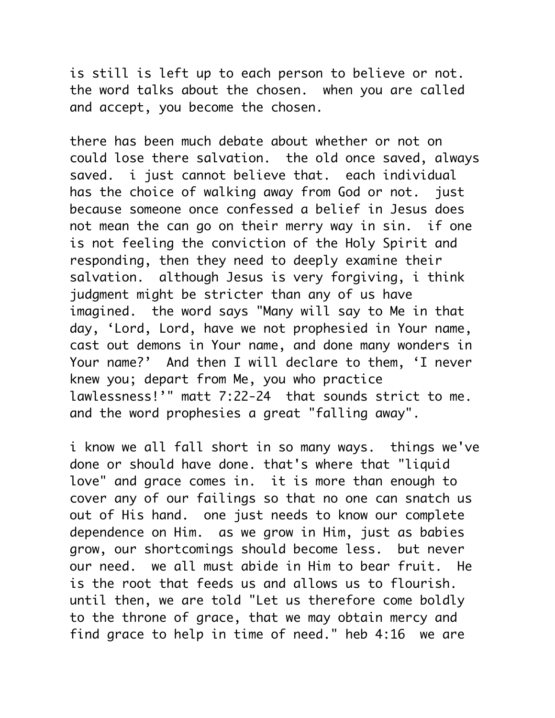is still is left up to each person to believe or not. the word talks about the chosen. when you are called and accept, you become the chosen.

there has been much debate about whether or not on could lose there salvation. the old once saved, always saved. i just cannot believe that. each individual has the choice of walking away from God or not. just because someone once confessed a belief in Jesus does not mean the can go on their merry way in sin. if one is not feeling the conviction of the Holy Spirit and responding, then they need to deeply examine their salvation. although Jesus is very forgiving, i think judgment might be stricter than any of us have imagined. the word says "Many will say to Me in that day, 'Lord, Lord, have we not prophesied in Your name, cast out demons in Your name, and done many wonders in Your name?' And then I will declare to them, 'I never knew you; depart from Me, you who practice lawlessness!'" matt 7:22-24 that sounds strict to me. and the word prophesies a great "falling away".

i know we all fall short in so many ways. things we've done or should have done. that's where that "liquid love" and grace comes in. it is more than enough to cover any of our failings so that no one can snatch us out of His hand. one just needs to know our complete dependence on Him. as we grow in Him, just as babies grow, our shortcomings should become less. but never our need. we all must abide in Him to bear fruit. He is the root that feeds us and allows us to flourish. until then, we are told "Let us therefore come boldly to the throne of grace, that we may obtain mercy and find grace to help in time of need." heb 4:16 we are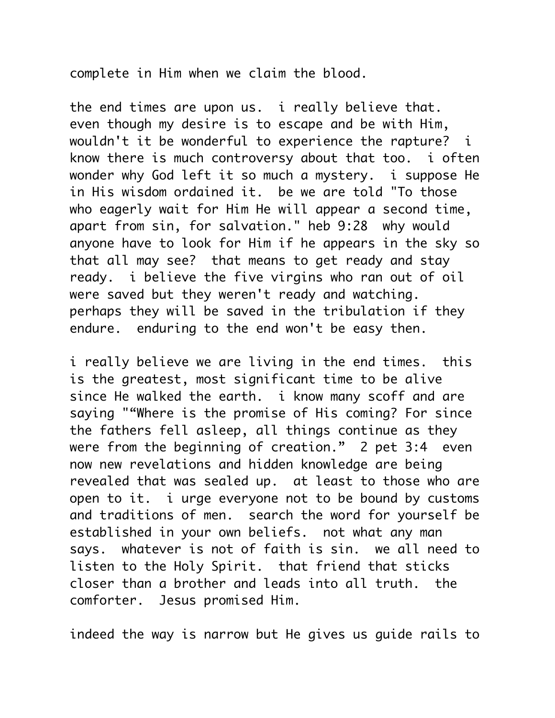complete in Him when we claim the blood.

the end times are upon us. i really believe that. even though my desire is to escape and be with Him, wouldn't it be wonderful to experience the rapture? i know there is much controversy about that too. i often wonder why God left it so much a mystery. i suppose He in His wisdom ordained it. be we are told "To those who eagerly wait for Him He will appear a second time, apart from sin, for salvation." heb 9:28 why would anyone have to look for Him if he appears in the sky so that all may see? that means to get ready and stay ready. i believe the five virgins who ran out of oil were saved but they weren't ready and watching. perhaps they will be saved in the tribulation if they endure. enduring to the end won't be easy then.

i really believe we are living in the end times. this is the greatest, most significant time to be alive since He walked the earth. i know many scoff and are saying ""Where is the promise of His coming? For since the fathers fell asleep, all things continue as they were from the beginning of creation." 2 pet 3:4 even now new revelations and hidden knowledge are being revealed that was sealed up. at least to those who are open to it. i urge everyone not to be bound by customs and traditions of men. search the word for yourself be established in your own beliefs. not what any man says. whatever is not of faith is sin. we all need to listen to the Holy Spirit. that friend that sticks closer than a brother and leads into all truth. the comforter. Jesus promised Him.

indeed the way is narrow but He gives us guide rails to